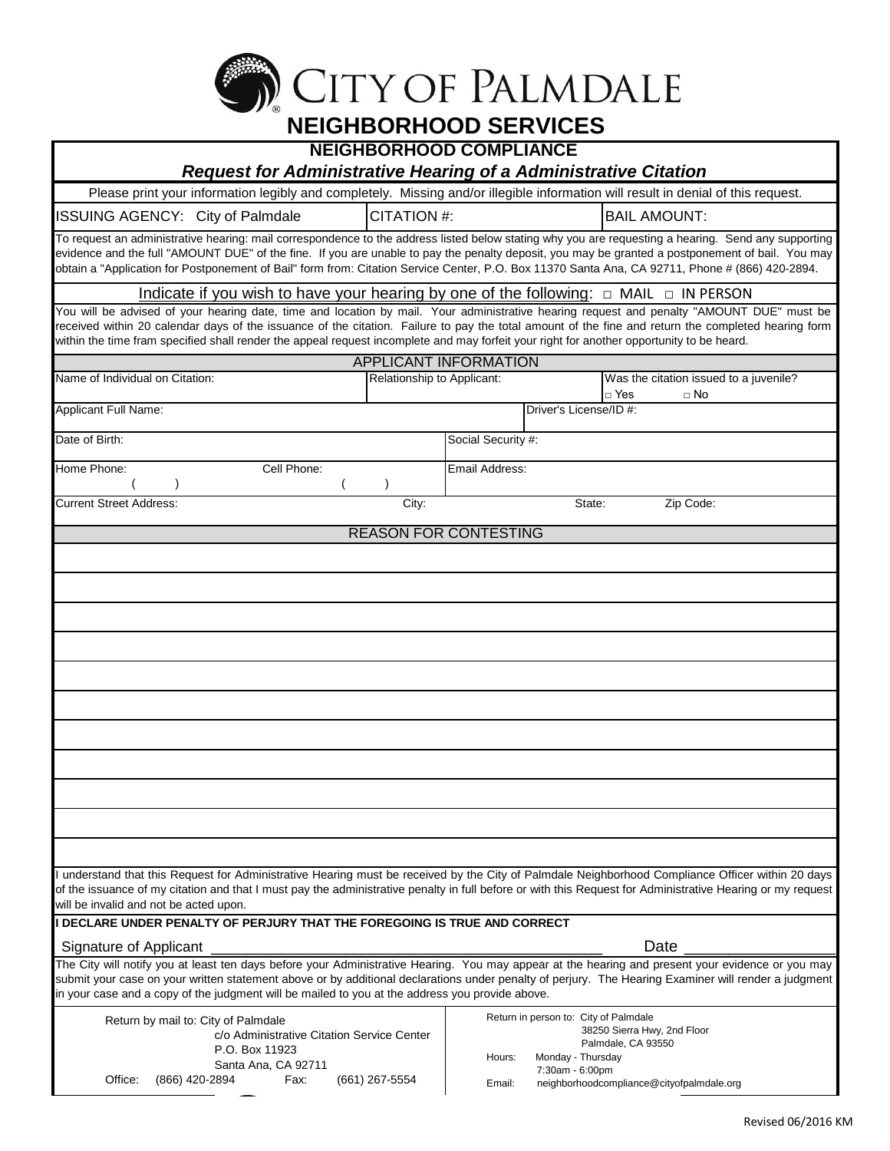

| <b>NEIGHBORHOOD COMPLIANCE</b><br><b>Request for Administrative Hearing of a Administrative Citation</b>                                                                                                                                                                                                                                                                                                                                                   |                              |                |                                       |                                                              |  |  |
|------------------------------------------------------------------------------------------------------------------------------------------------------------------------------------------------------------------------------------------------------------------------------------------------------------------------------------------------------------------------------------------------------------------------------------------------------------|------------------------------|----------------|---------------------------------------|--------------------------------------------------------------|--|--|
| Please print your information legibly and completely. Missing and/or illegible information will result in denial of this request.                                                                                                                                                                                                                                                                                                                          |                              |                |                                       |                                                              |  |  |
| ISSUING AGENCY: City of Palmdale                                                                                                                                                                                                                                                                                                                                                                                                                           | CITATION #:                  |                |                                       | <b>BAIL AMOUNT:</b>                                          |  |  |
| To request an administrative hearing: mail correspondence to the address listed below stating why you are requesting a hearing. Send any supporting<br>evidence and the full "AMOUNT DUE" of the fine. If you are unable to pay the penalty deposit, you may be granted a postponement of bail. You may<br>obtain a "Application for Postponement of Bail" form from: Citation Service Center, P.O. Box 11370 Santa Ana, CA 92711, Phone # (866) 420-2894. |                              |                |                                       |                                                              |  |  |
| Indicate if you wish to have your hearing by one of the following: $\Box$ MAIL $\Box$ IN PERSON                                                                                                                                                                                                                                                                                                                                                            |                              |                |                                       |                                                              |  |  |
| You will be advised of your hearing date, time and location by mail. Your administrative hearing request and penalty "AMOUNT DUE" must be<br>received within 20 calendar days of the issuance of the citation. Failure to pay the total amount of the fine and return the completed hearing form<br>within the time fram specified shall render the appeal request incomplete and may forfeit your right for another opportunity to be heard.              |                              |                |                                       |                                                              |  |  |
|                                                                                                                                                                                                                                                                                                                                                                                                                                                            | APPLICANT INFORMATION        |                |                                       |                                                              |  |  |
| Name of Individual on Citation:                                                                                                                                                                                                                                                                                                                                                                                                                            | Relationship to Applicant:   |                |                                       | Was the citation issued to a juvenile?<br>□ Yes<br>$\Box$ No |  |  |
| Applicant Full Name:                                                                                                                                                                                                                                                                                                                                                                                                                                       |                              |                | Driver's License/ID #:                |                                                              |  |  |
| Date of Birth:                                                                                                                                                                                                                                                                                                                                                                                                                                             |                              |                | Social Security #:                    |                                                              |  |  |
| Cell Phone:<br>Home Phone:                                                                                                                                                                                                                                                                                                                                                                                                                                 |                              | Email Address: |                                       |                                                              |  |  |
| <b>Current Street Address:</b>                                                                                                                                                                                                                                                                                                                                                                                                                             | City:                        |                | State:                                | Zip Code:                                                    |  |  |
|                                                                                                                                                                                                                                                                                                                                                                                                                                                            | <b>REASON FOR CONTESTING</b> |                |                                       |                                                              |  |  |
|                                                                                                                                                                                                                                                                                                                                                                                                                                                            |                              |                |                                       |                                                              |  |  |
|                                                                                                                                                                                                                                                                                                                                                                                                                                                            |                              |                |                                       |                                                              |  |  |
|                                                                                                                                                                                                                                                                                                                                                                                                                                                            |                              |                |                                       |                                                              |  |  |
|                                                                                                                                                                                                                                                                                                                                                                                                                                                            |                              |                |                                       |                                                              |  |  |
|                                                                                                                                                                                                                                                                                                                                                                                                                                                            |                              |                |                                       |                                                              |  |  |
|                                                                                                                                                                                                                                                                                                                                                                                                                                                            |                              |                |                                       |                                                              |  |  |
|                                                                                                                                                                                                                                                                                                                                                                                                                                                            |                              |                |                                       |                                                              |  |  |
|                                                                                                                                                                                                                                                                                                                                                                                                                                                            |                              |                |                                       |                                                              |  |  |
|                                                                                                                                                                                                                                                                                                                                                                                                                                                            |                              |                |                                       |                                                              |  |  |
| I understand that this Request for Administrative Hearing must be received by the City of Palmdale Neighborhood Compliance Officer within 20 days<br>of the issuance of my citation and that I must pay the administrative penalty in full before or with this Request for Administrative Hearing or my request<br>will be invalid and not be acted upon.                                                                                                  |                              |                |                                       |                                                              |  |  |
| I DECLARE UNDER PENALTY OF PERJURY THAT THE FOREGOING IS TRUE AND CORRECT                                                                                                                                                                                                                                                                                                                                                                                  |                              |                |                                       |                                                              |  |  |
| Signature of Applicant                                                                                                                                                                                                                                                                                                                                                                                                                                     |                              |                |                                       | Date                                                         |  |  |
| The City will notify you at least ten days before your Administrative Hearing. You may appear at the hearing and present your evidence or you may<br>submit your case on your written statement above or by additional declarations under penalty of perjury. The Hearing Examiner will render a judgment<br>in your case and a copy of the judgment will be mailed to you at the address you provide above.                                               |                              |                |                                       |                                                              |  |  |
| Return by mail to: City of Palmdale                                                                                                                                                                                                                                                                                                                                                                                                                        |                              |                | Return in person to: City of Palmdale |                                                              |  |  |
| c/o Administrative Citation Service Center                                                                                                                                                                                                                                                                                                                                                                                                                 |                              |                |                                       | 38250 Sierra Hwy, 2nd Floor                                  |  |  |
| P.O. Box 11923                                                                                                                                                                                                                                                                                                                                                                                                                                             |                              | Hours:         | Monday - Thursday                     | Palmdale, CA 93550                                           |  |  |
| Santa Ana, CA 92711<br>Office:<br>(866) 420-2894<br>Fax:                                                                                                                                                                                                                                                                                                                                                                                                   | (661) 267-5554               | Email:         | 7:30am - 6:00pm                       | neighborhoodcompliance@cityofpalmdale.org                    |  |  |